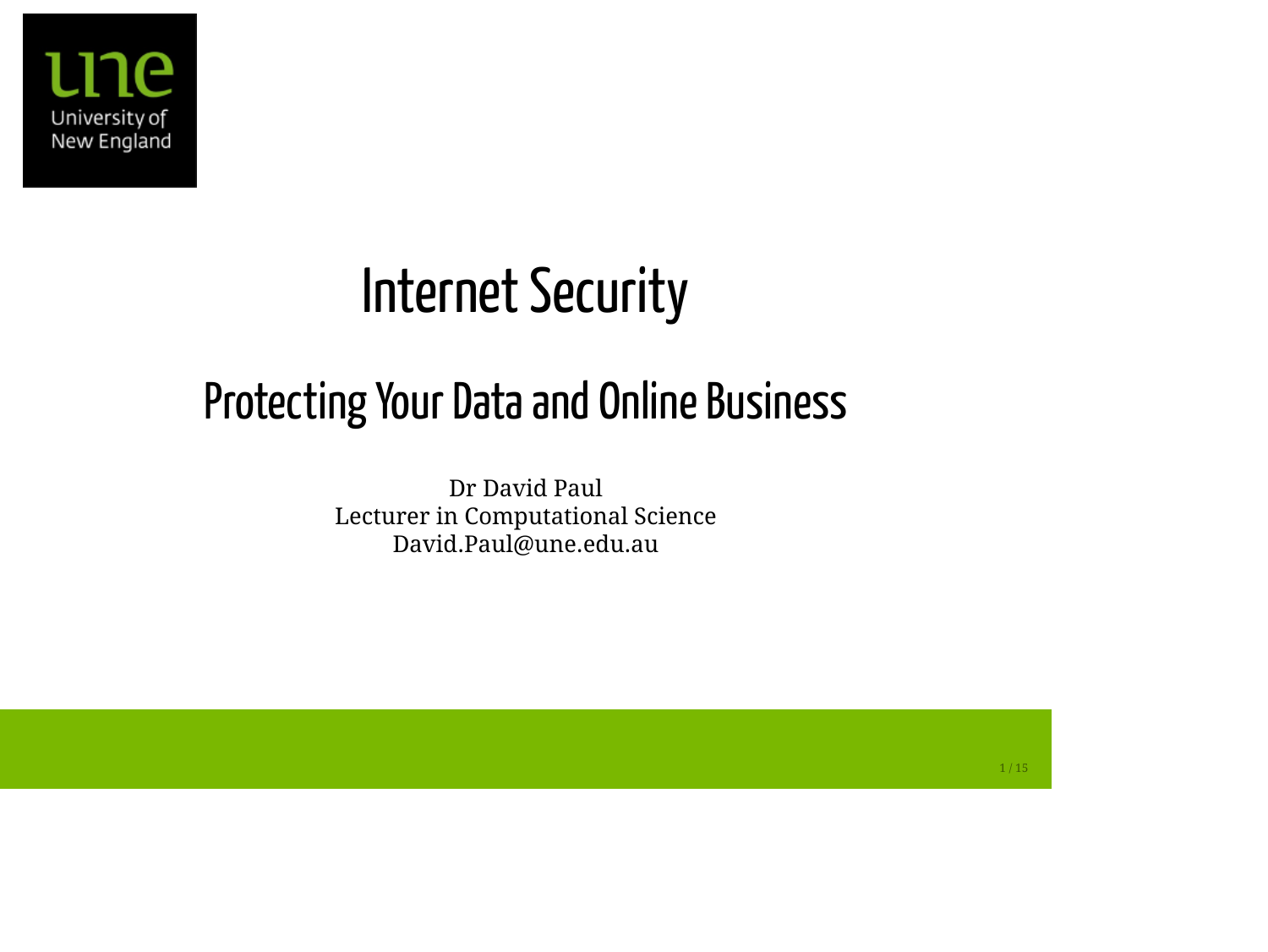

## **Internet Security**

#### Protecting Your Data and Online Business

Dr David Paul Lecturer in Computational Science David.Paul@une.edu.au

 $1/15$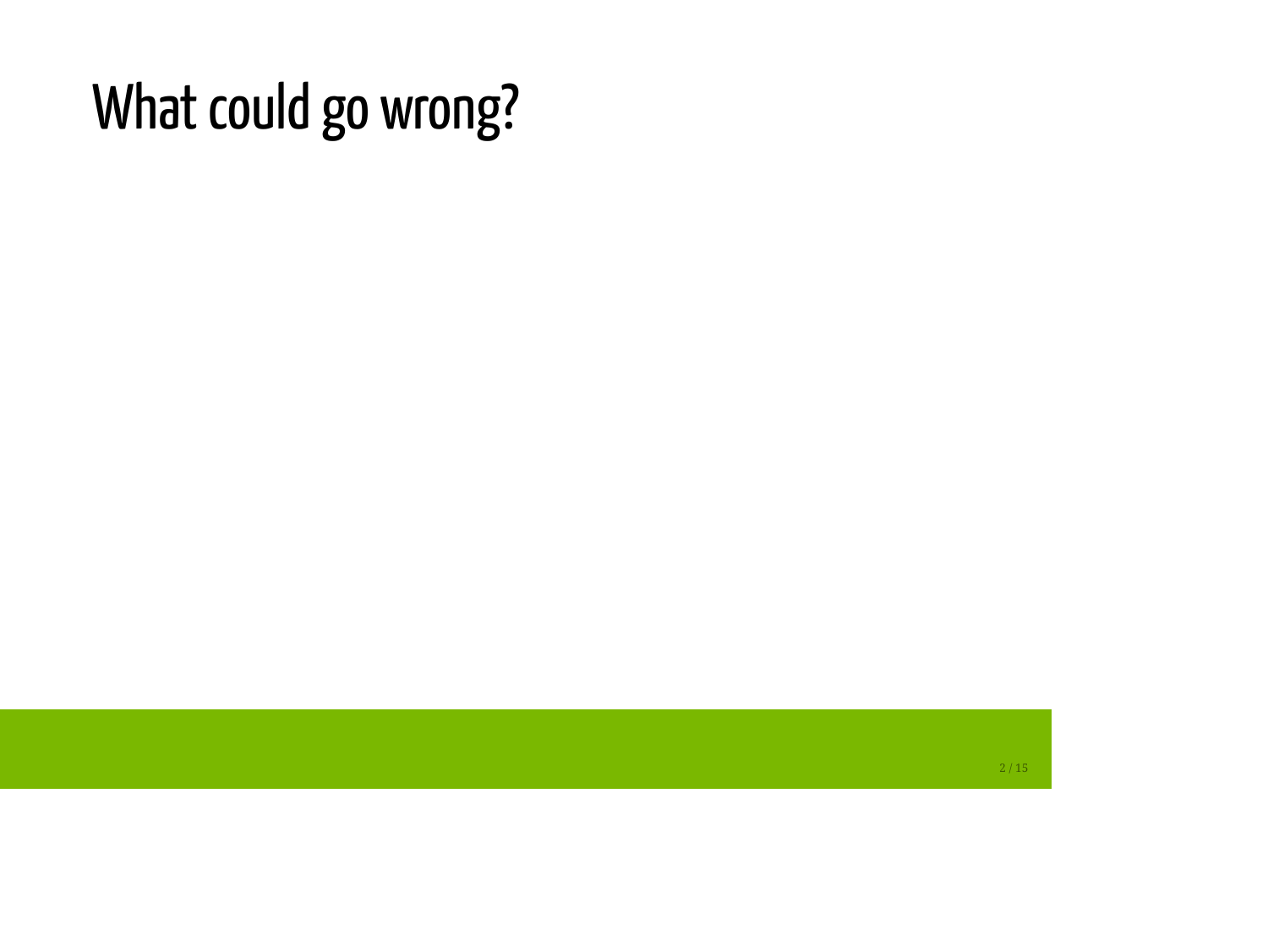## What could go wrong?

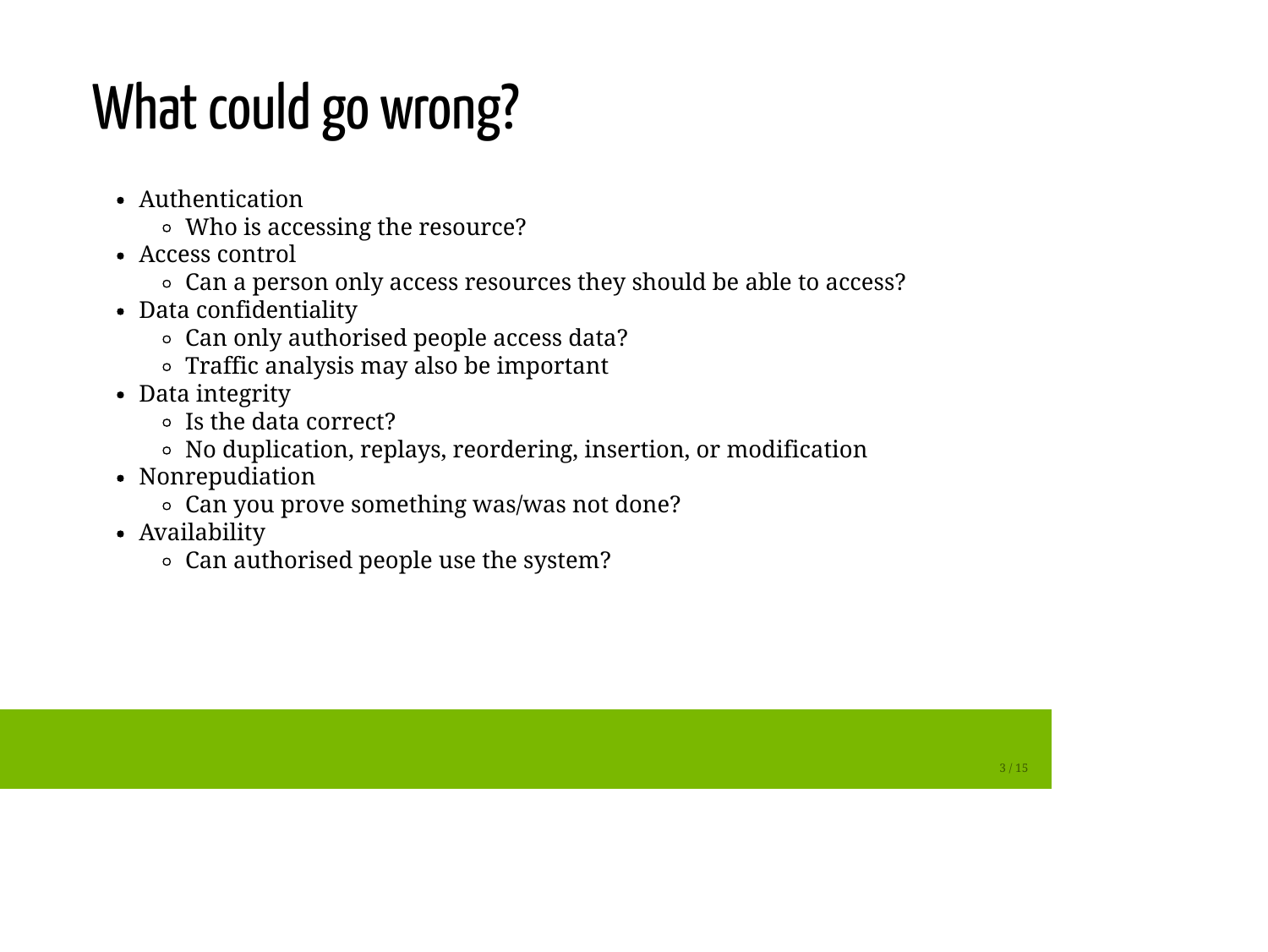# What could go wrong?

- Authentication
	- Who is accessing the resource?
- Access control
	- Can a person only access resources they should be able to access?
- Data confidentiality
	- Can only authorised people access data?
	- Traffic analysis may also be important
- Data integrity
	- Is the data correct?
	- No duplication, replays, reordering, insertion, or modification
- Nonrepudiation
	- Can you prove something was/was not done?
- Availability
	- Can authorised people use the system?

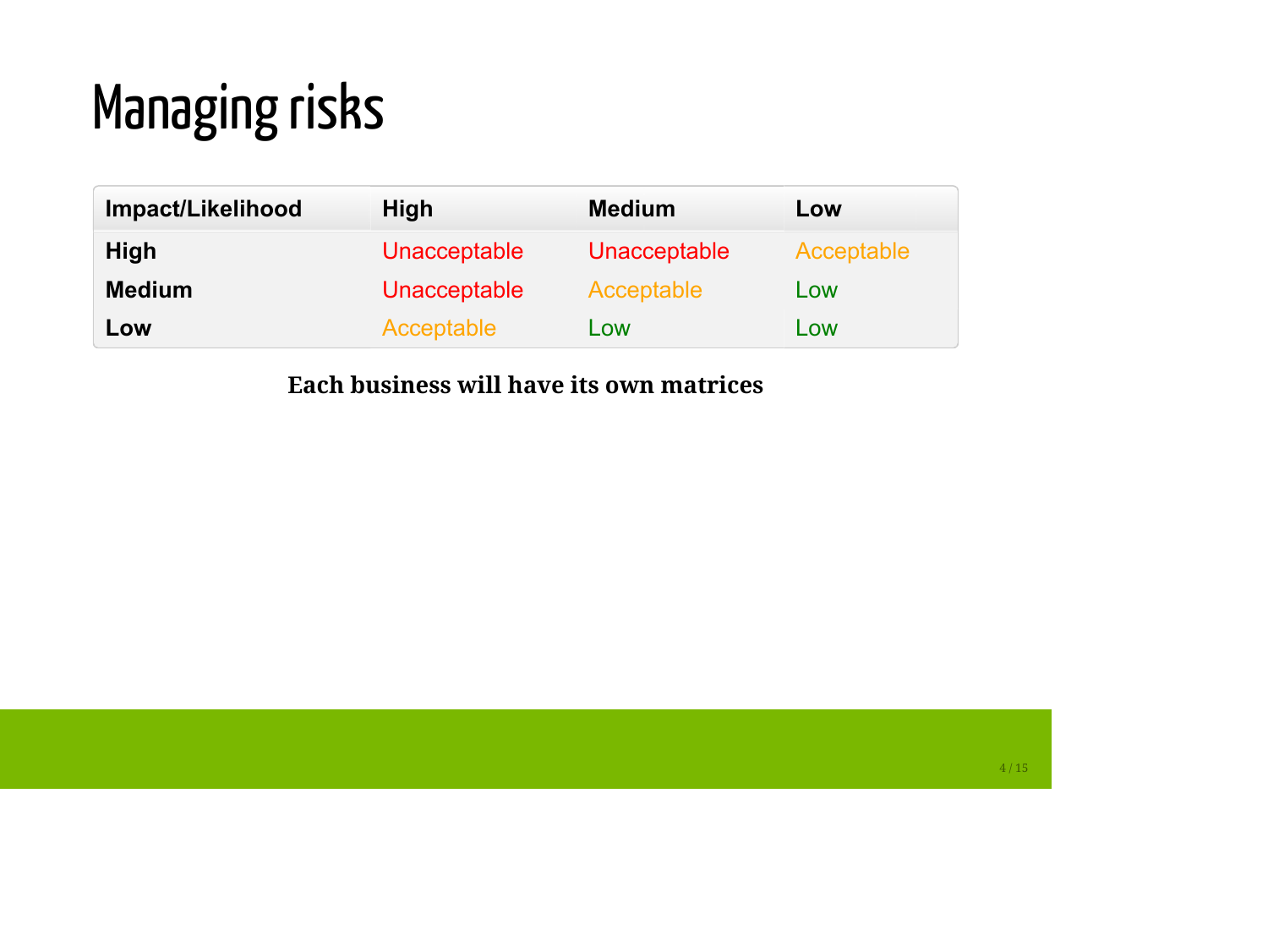# Managing risks

| Impact/Likelihood | High                | <b>Medium</b> | Low        |
|-------------------|---------------------|---------------|------------|
| <b>High</b>       | <b>Unacceptable</b> | Unacceptable  | Acceptable |
| <b>Medium</b>     | <b>Unacceptable</b> | Acceptable    | Low        |
| Low               | Acceptable          | Low           | Low        |

#### **Each business will have its own matrices**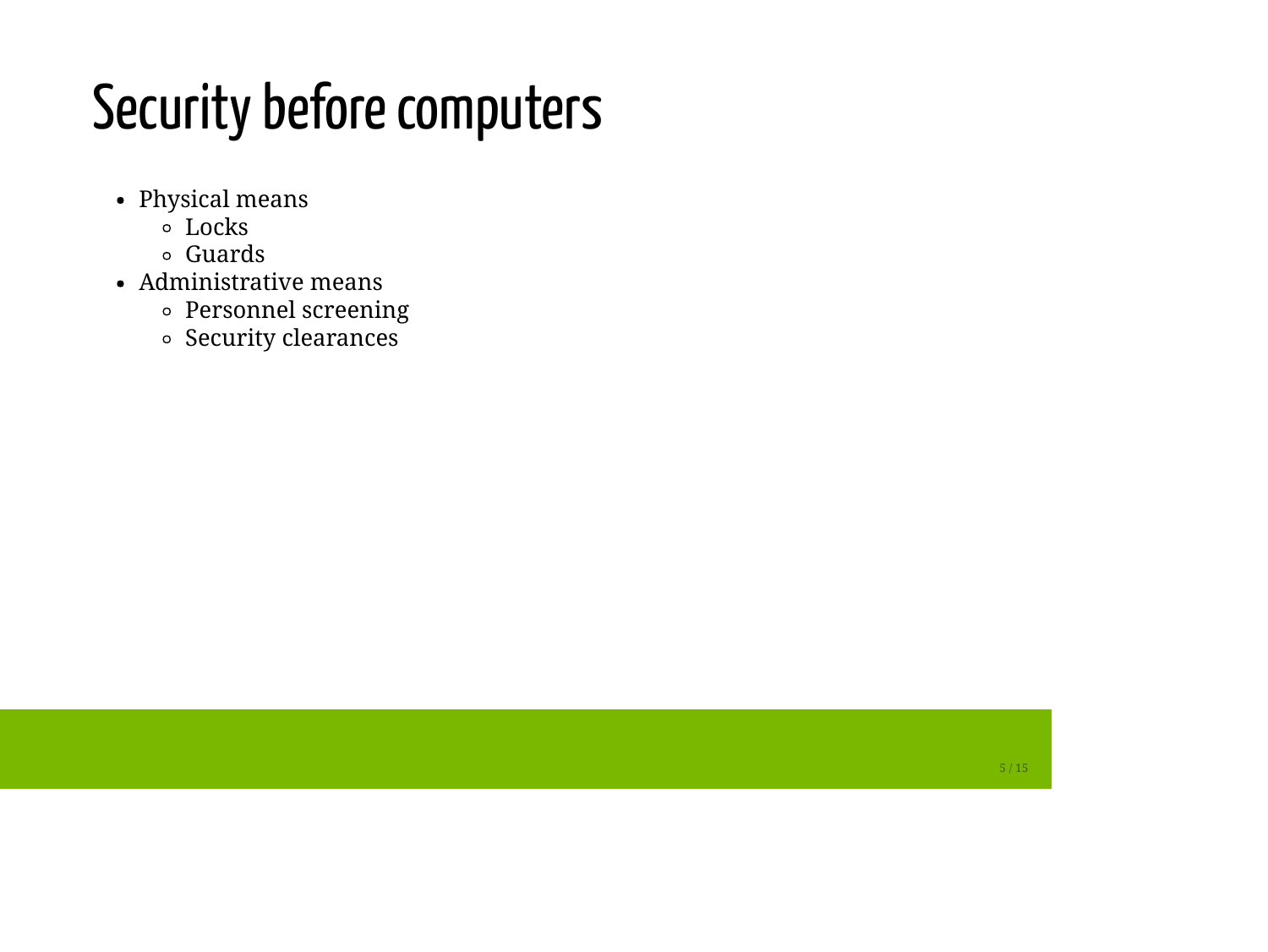## Security before computers

- Physical means
	- $\circ$  Locks
	- Guards
- Administrative means
	- Personnel screening
	- o Security clearances

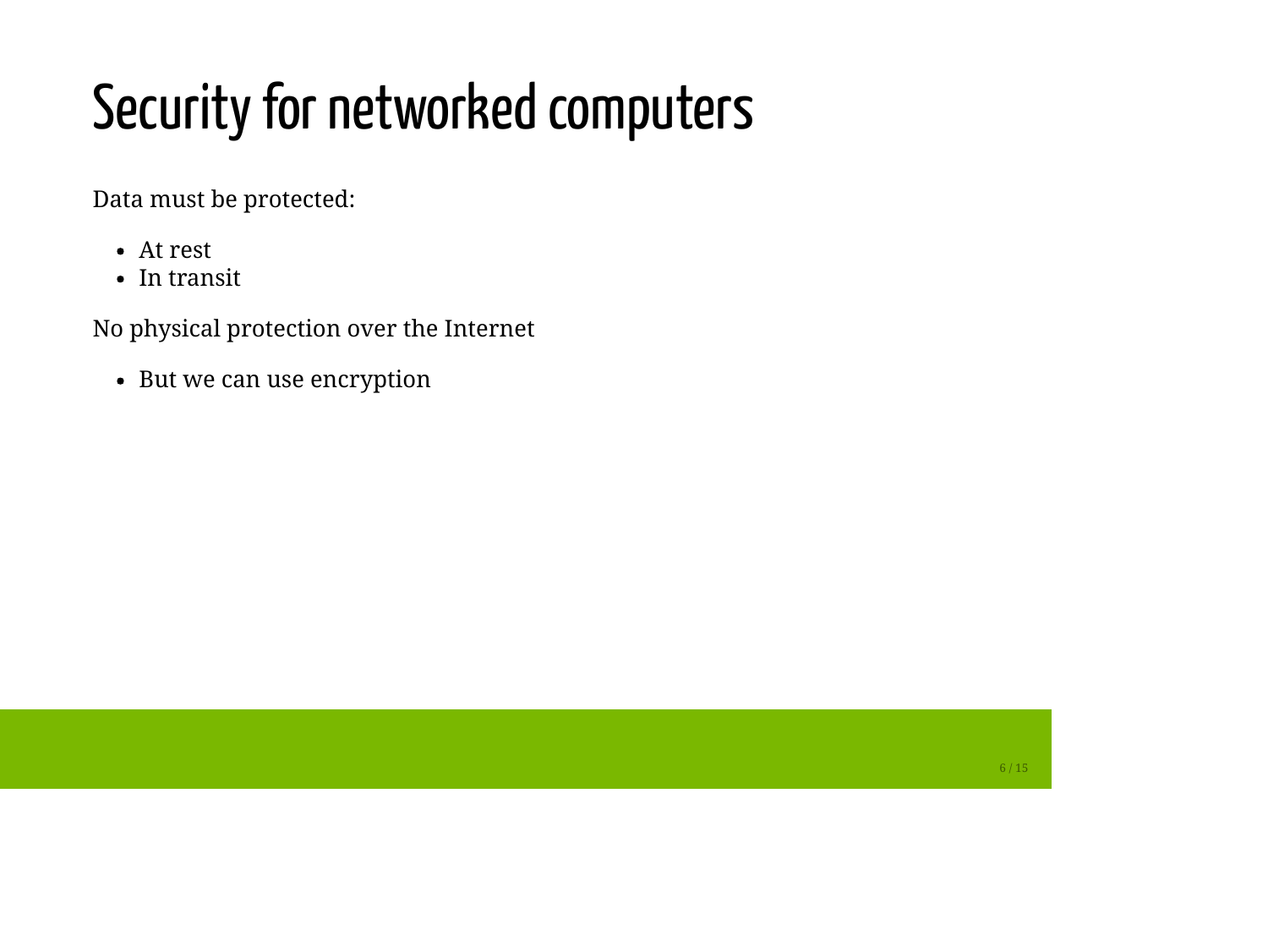# Security for networked computers

Data must be protected:

- At rest
- In transit

No physical protection over the Internet

• But we can use encryption

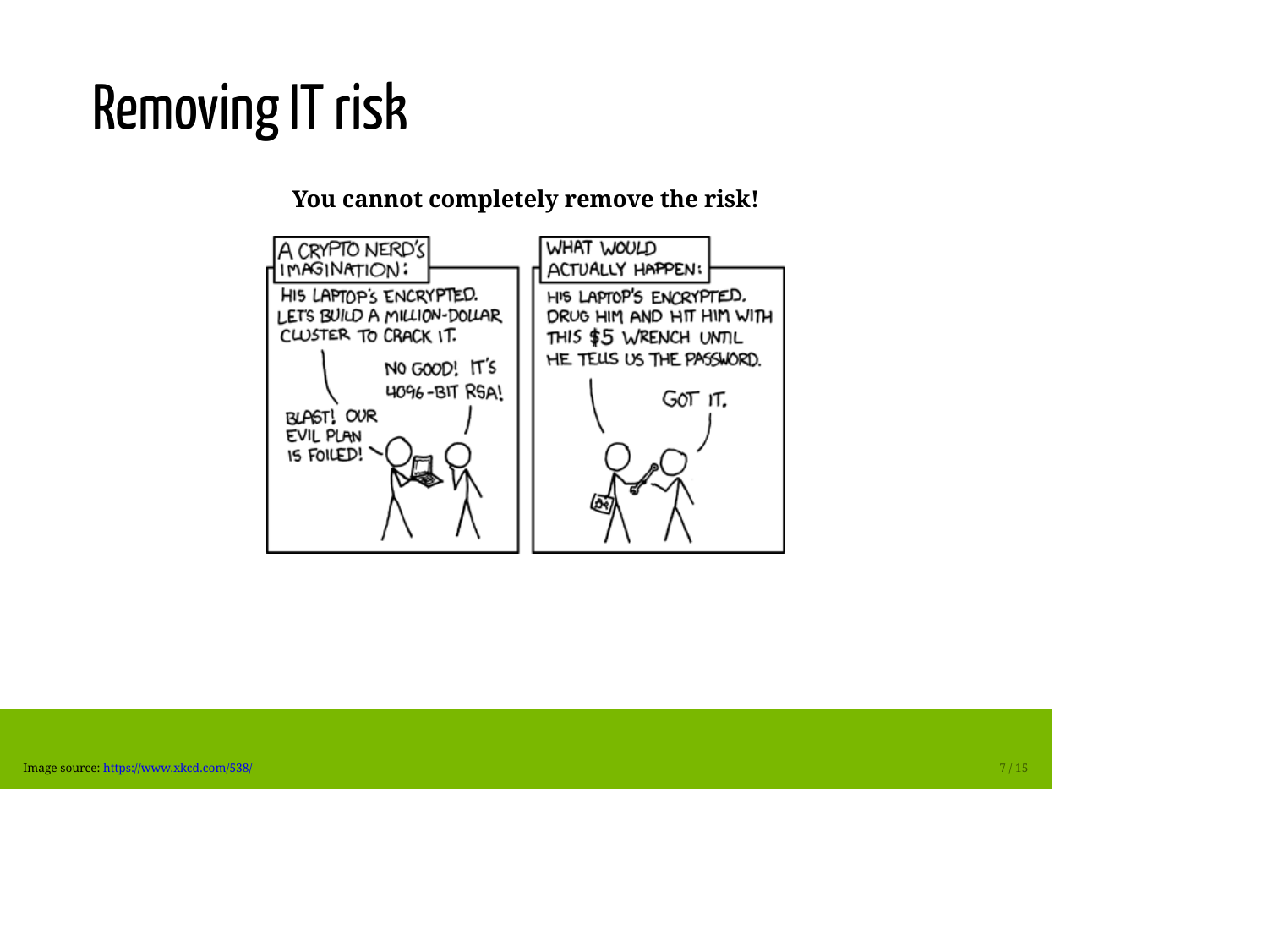# Removing IT risk

**You cannot completely remove the risk!**

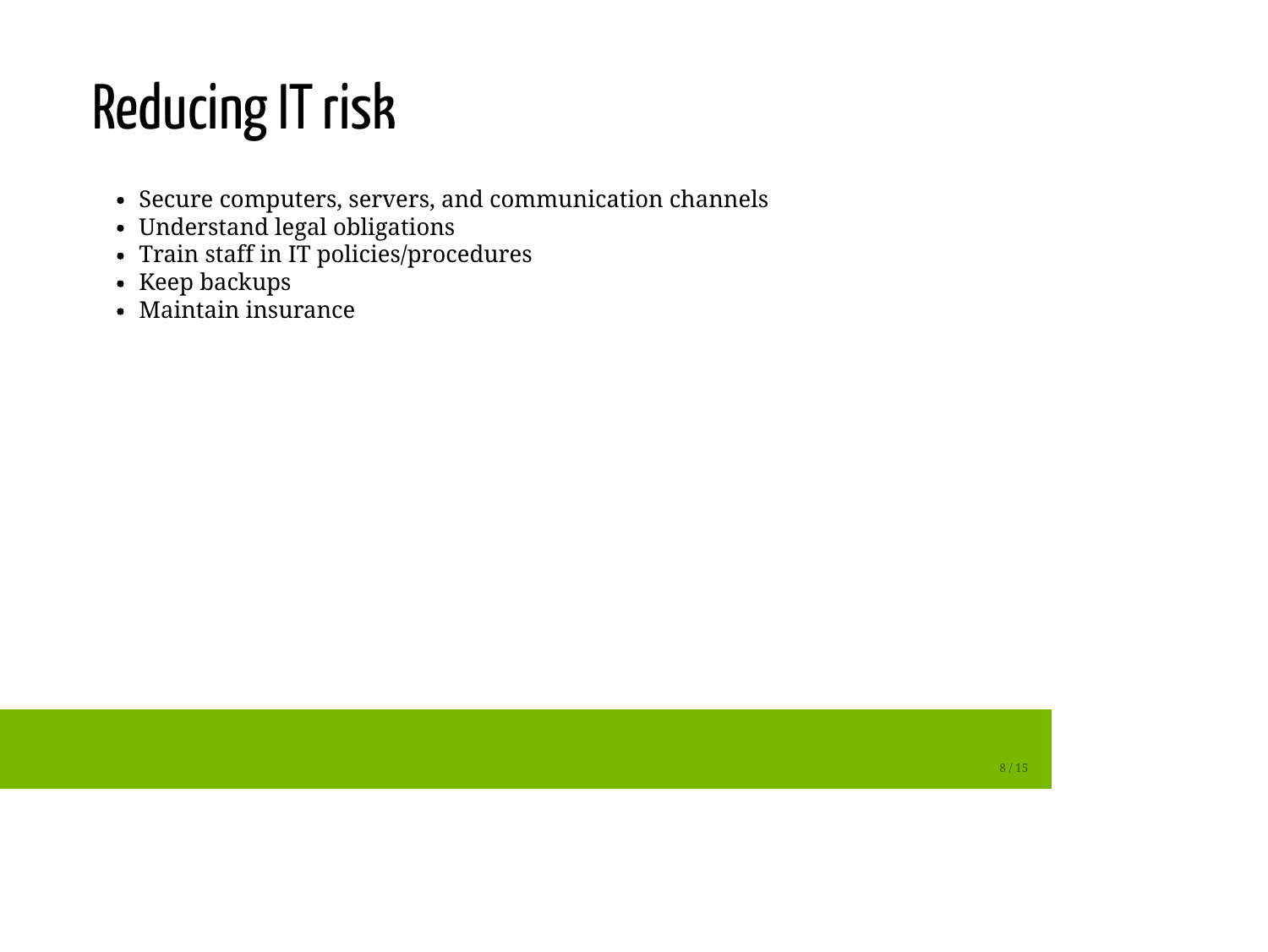# Reducing IT risk

- Secure computers, servers, and communication channels
- Understand legal obligations
- Train staff in IT policies/procedures
- Keep backups
- Maintain insurance

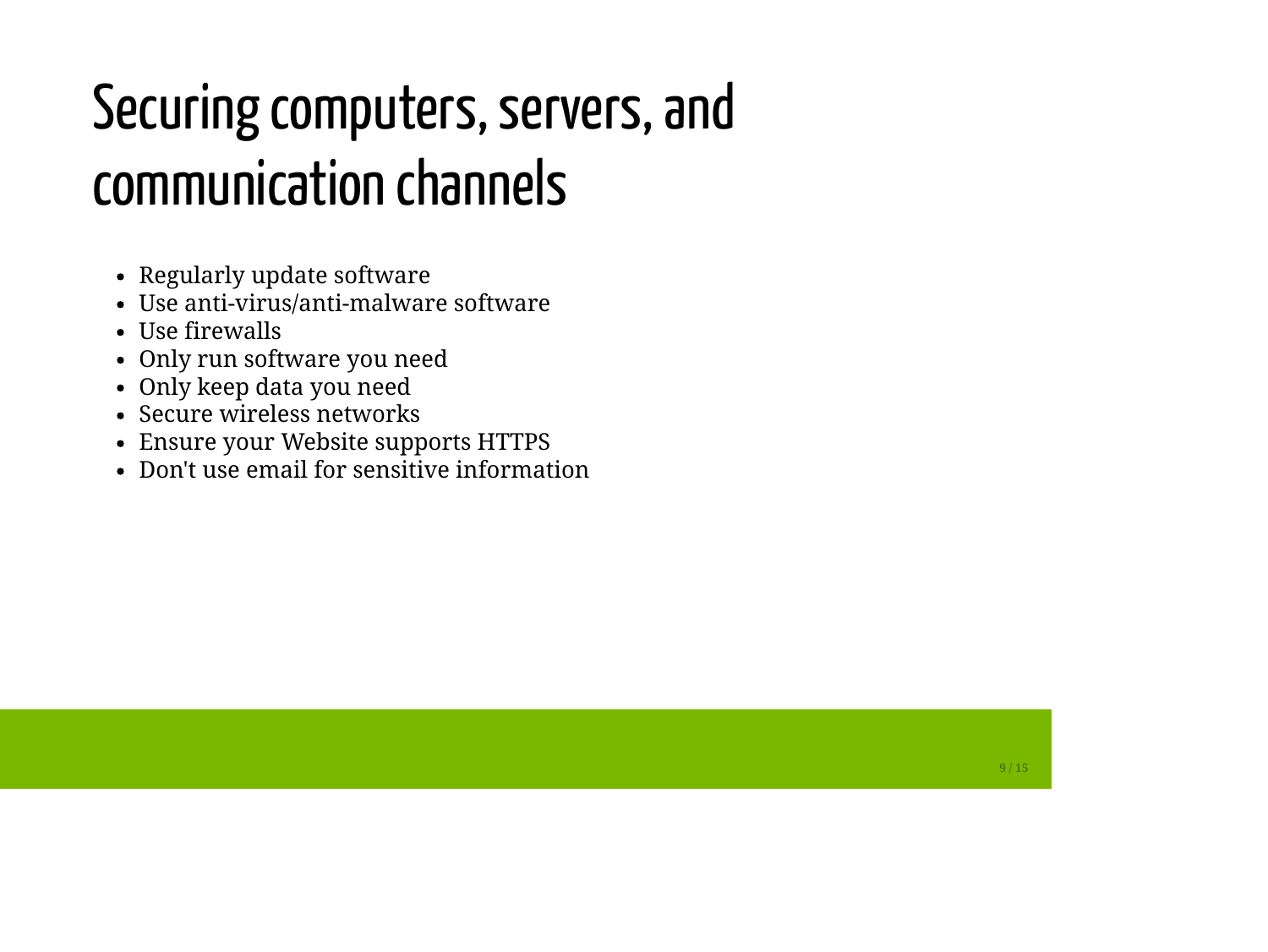# Securing computers, servers, and communication channels

- Regularly update software
- Use anti-virus/anti-malware software
- Use firewalls
- Only run software you need
- Only keep data you need
- Secure wireless networks
- Ensure your Website supports HTTPS
- Don't use email for sensitive information

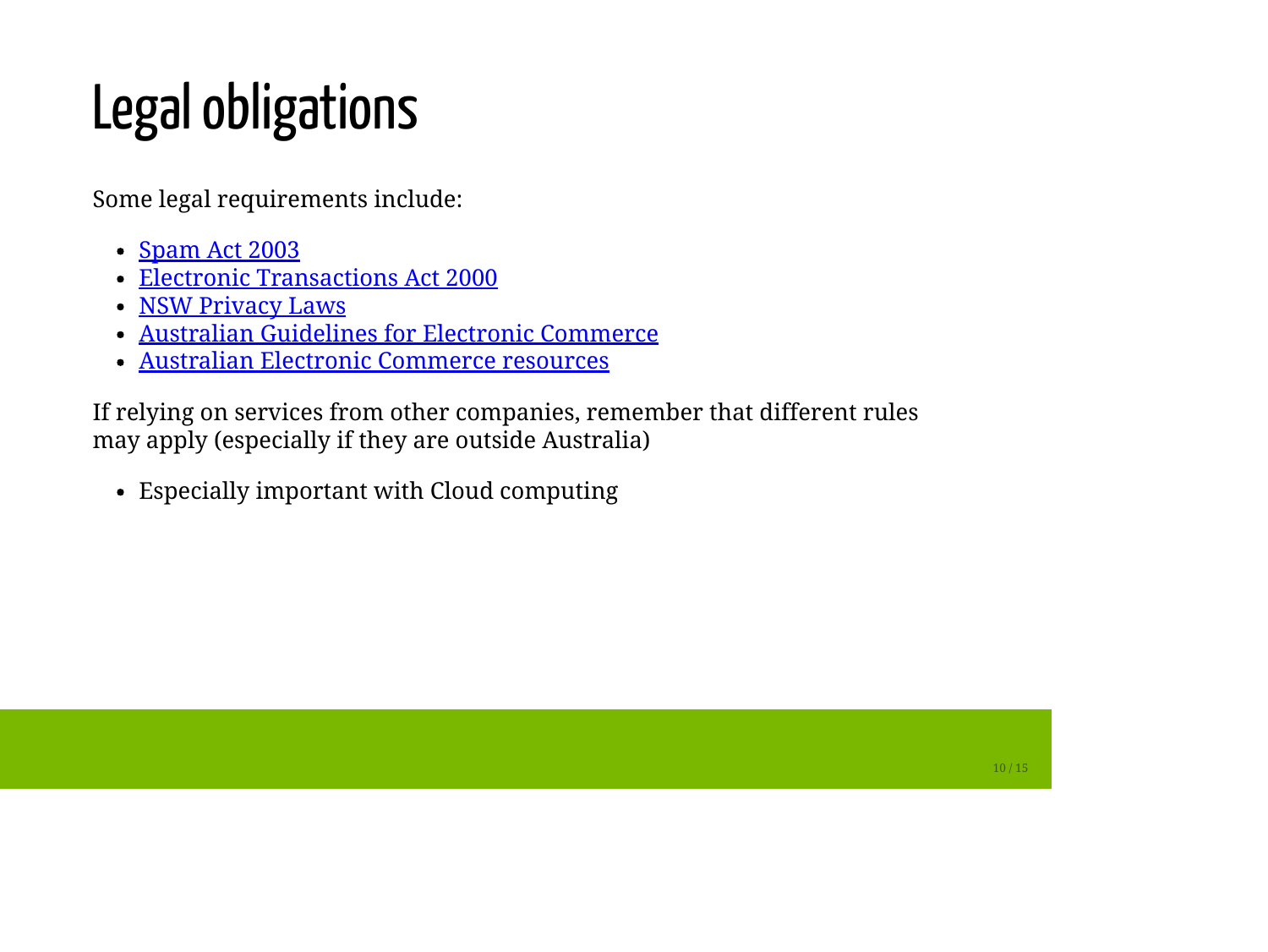# Legal obligations

Some legal requirements include:

- [Spam Act 2003](https://www.legislation.gov.au/Details/C2016C00614)
- [Electronic Transactions Act 2000](http://www.legislation.nsw.gov.au/inforce/235adf26-6085-6179-8cbd-d0ddf6bbdab4/2000-8.pdf)
- [NSW Privacy Laws](http://www.ipc.nsw.gov.au/privacy-laws)
- [Australian Guidelines for Electronic Commerce](http://archive.treasury.gov.au/contentitem.asp?ContentID=1083)
- [Australian Electronic Commerce resources](http://www.australia.gov.au/information-and-services/business-and-industry/abn-acn-business-management/electronic-commerce)

If relying on services from other companies, remember that different rules may apply (especially if they are outside Australia)

Especially important with Cloud computing

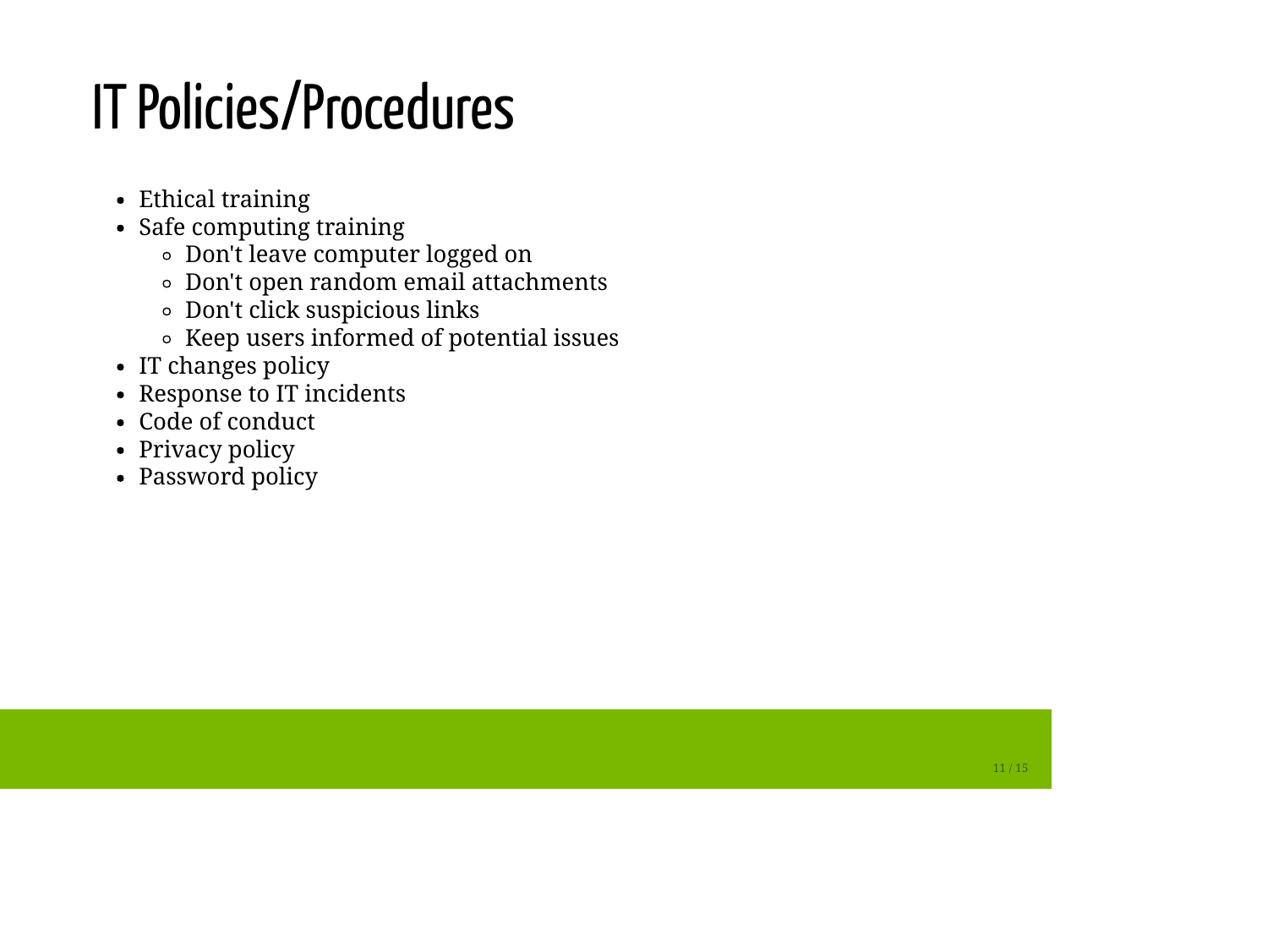## IT Policies/Procedures

- Ethical training
- Safe computing training
	- Don't leave computer logged on
	- Don't open random email attachments
	- Don't click suspicious links
	- Keep users informed of potential issues
- IT changes policy
- Response to IT incidents
- Code of conduct
- Privacy policy
- Password policy

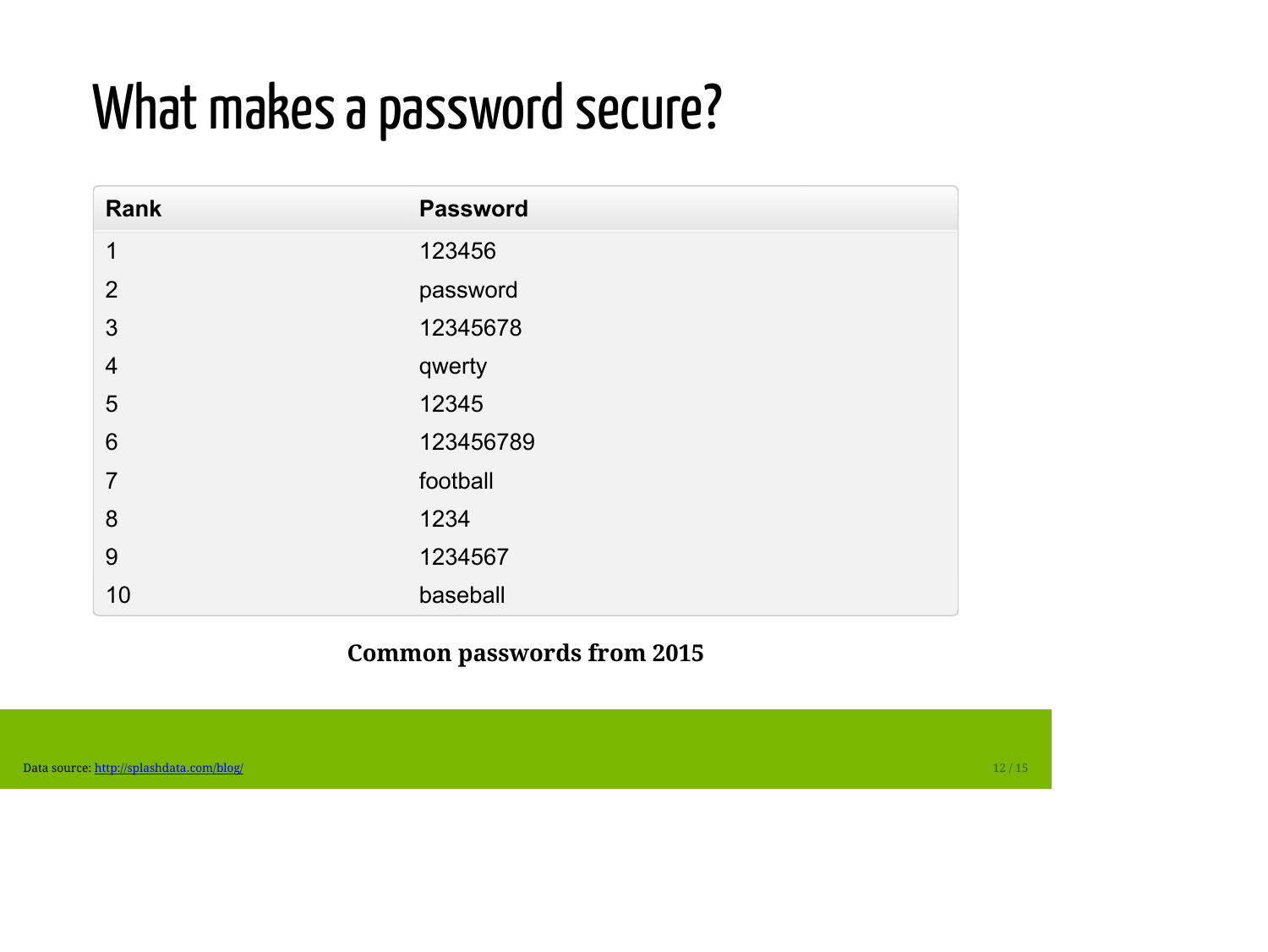#### What makes a password secure?

| Rank            | <b>Password</b> |
|-----------------|-----------------|
| $\mathbf{1}$    | 123456          |
| $\overline{2}$  | password        |
| 3               | 12345678        |
| $\overline{4}$  | qwerty          |
| 5               | 12345           |
| $6\phantom{1}6$ | 123456789       |
| $\overline{7}$  | football        |
| 8               | 1234            |
| 9               | 1234567         |
| 10              | baseball        |

**Common passwords from 2015**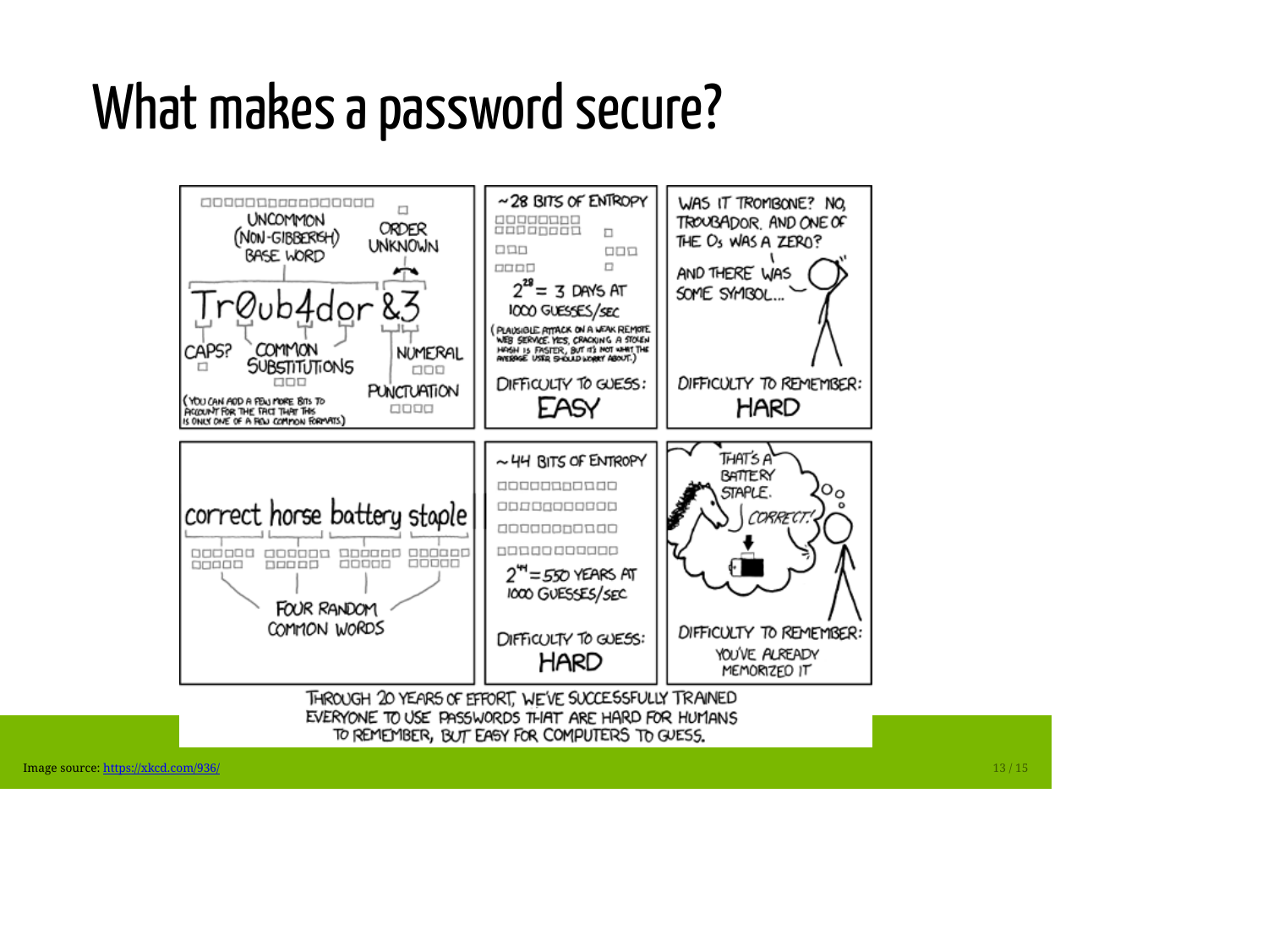#### What makes a password secure?



13 / 15

Image source:<https://xkcd.com/936/>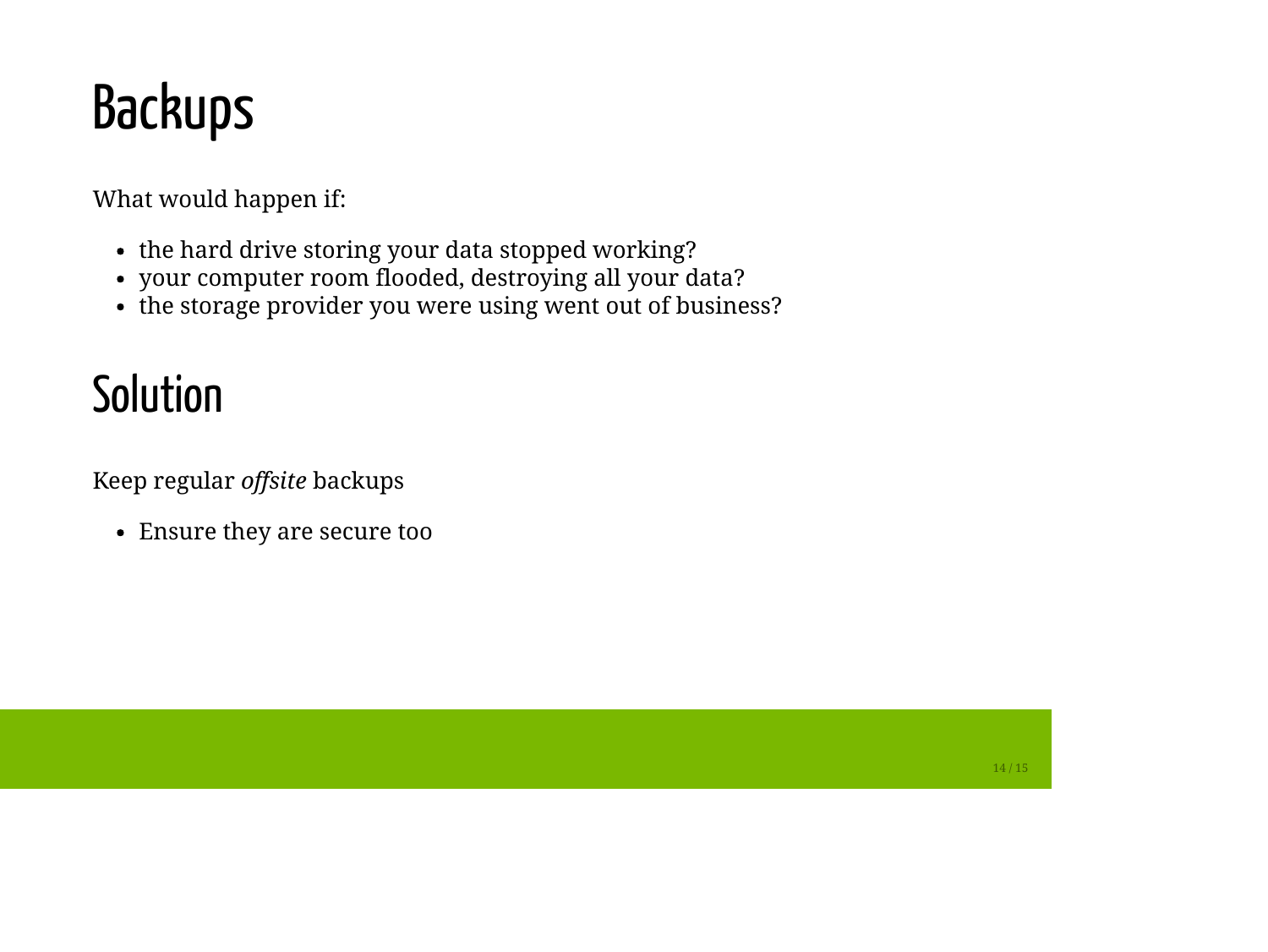## Backups

What would happen if:

- the hard drive storing your data stopped working?
- your computer room flooded, destroying all your data?
- the storage provider you were using went out of business?

#### Solution

Keep regular *offsite* backups

Ensure they are secure too